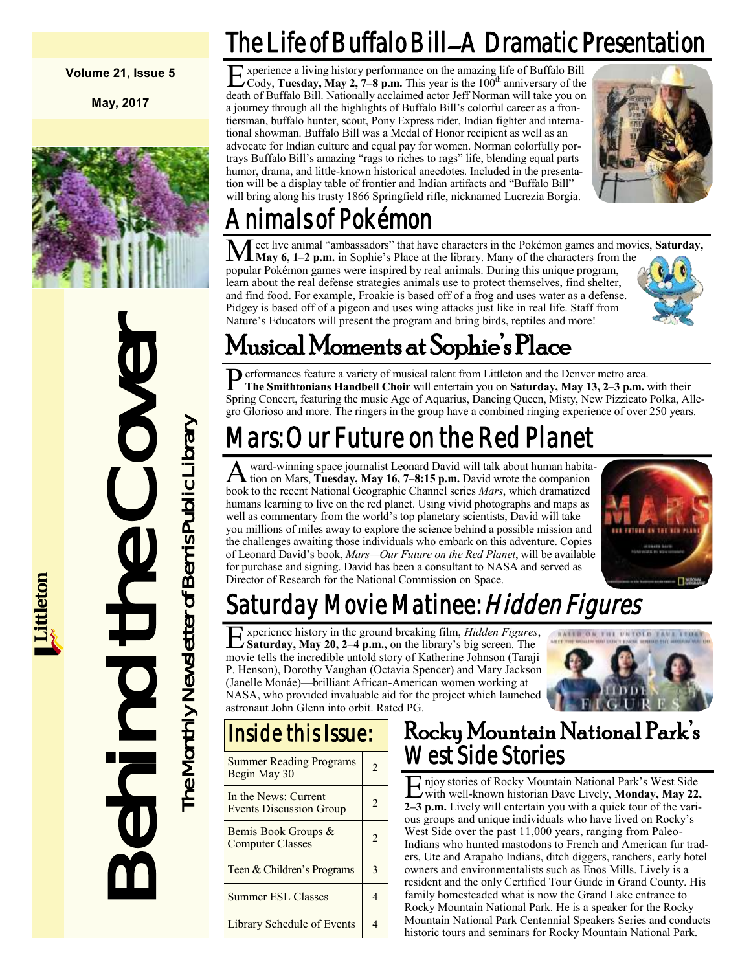**Volume 21, Issue 5**

**May, 2017**



Behind the Cover The Monthly Newsletter of Bemis Public Library he Monthly Newsletter of Bemis Public Library

## The Life of Buffalo Bill–A Dramatic Presentation

Experience a living history performance on the amazing life of Buffalo Bill<br>Cody, Tuesday, May 2, 7–8 p.m. This year is the 100<sup>th</sup> anniversary of the Cody, **Tuesday, May 2, 7–8 p.m.** This year is the  $100<sup>th</sup>$  anniversary of the death of Buffalo Bill. Nationally acclaimed actor Jeff Norman will take you on a journey through all the highlights of Buffalo Bill's colorful career as a frontiersman, buffalo hunter, scout, Pony Express rider, Indian fighter and international showman. Buffalo Bill was a Medal of Honor recipient as well as an advocate for Indian culture and equal pay for women. Norman colorfully portrays Buffalo Bill's amazing "rags to riches to rags" life, blending equal parts humor, drama, and little-known historical anecdotes. Included in the presentation will be a display table of frontier and Indian artifacts and "Buffalo Bill" will bring along his trusty 1866 Springfield rifle, nicknamed Lucrezia Borgia.



## Animals of Pokémon

Meet live animal "ambassadors" that have characters in the Pokémon games and movies, **Saturday**, May 6, 1–2 p.m. in Sophie's Place at the library. Many of the characters from the popular Pokémon games were inspired by real animals. During this unique program, learn about the real defense strategies animals use to protect themselves, find shelter, and find food. For example, Froakie is based off of a frog and uses water as a defense. Pidgey is based off of a pigeon and uses wing attacks just like in real life. Staff from Nature's Educators will present the program and bring birds, reptiles and more!

## Musical Moments at Sophie's Place

Performances feature a variety of musical talent from Littleton and the Denver metro area.<br>The Smithtonians Handbell Choir will entertain you on Saturday, May 13, 2–3 p.m. **The Smithtonians Handbell Choir** will entertain you on **Saturday, May 13, 2–3 p.m.** with their Spring Concert, featuring the music Age of Aquarius, Dancing Queen, Misty, New Pizzicato Polka, Allegro Glorioso and more. The ringers in the group have a combined ringing experience of over 250 years.

## Mars: Our Future on the Red Planet

A ward-winning space journalist Leonard David will talk about human habita<br>tion on Mars, **Tuesday, May 16, 7–8:15 p.m.** David wrote the companion ward-winning space journalist Leonard David will talk about human habitabook to the recent National Geographic Channel series *Mars*, which dramatized humans learning to live on the red planet. Using vivid photographs and maps as well as commentary from the world's top planetary scientists, David will take you millions of miles away to explore the science behind a possible mission and the challenges awaiting those individuals who embark on this adventure. Copies of Leonard David's book, *Mars—Our Future on the Red Planet*, will be available for purchase and signing. David has been a consultant to NASA and served as Director of Research for the National Commission on Space.



## Saturday Movie Matinee: *Hidden Figures*

E **Saturday, May 20, 2–4 p.m.,** on the library's big screen. The xperience history in the ground breaking film, *Hidden Figures*, movie tells the incredible untold story of Katherine Johnson (Taraji P. Henson), Dorothy Vaughan (Octavia Spencer) and Mary Jackson (Janelle Monáe)—brilliant African-American women working at NASA, who provided invaluable aid for the project which launched astronaut John Glenn into orbit. Rated PG.



### Inside this Issue:

| <b>Summer Reading Programs</b><br>Begin May 30         | 2 |
|--------------------------------------------------------|---|
| In the News: Current<br><b>Events Discussion Group</b> | 2 |
| Bemis Book Groups &<br><b>Computer Classes</b>         | 2 |
| Teen & Children's Programs                             | 3 |
| <b>Summer ESL Classes</b>                              |   |
| <b>Library Schedule of Events</b>                      |   |

### Rocky Mountain National Park's West Side Stories

E with well-known historian Dave Lively, **Monday, May 22,**  njoy stories of Rocky Mountain National Park's West Side **2–3 p.m.** Lively will entertain you with a quick tour of the various groups and unique individuals who have lived on Rocky's West Side over the past 11,000 years, ranging from Paleo-Indians who hunted mastodons to French and American fur traders, Ute and Arapaho Indians, ditch diggers, ranchers, early hotel owners and environmentalists such as Enos Mills. Lively is a resident and the only Certified Tour Guide in Grand County. His family homesteaded what is now the Grand Lake entrance to Rocky Mountain National Park. He is a speaker for the Rocky Mountain National Park Centennial Speakers Series and conducts historic tours and seminars for Rocky Mountain National Park.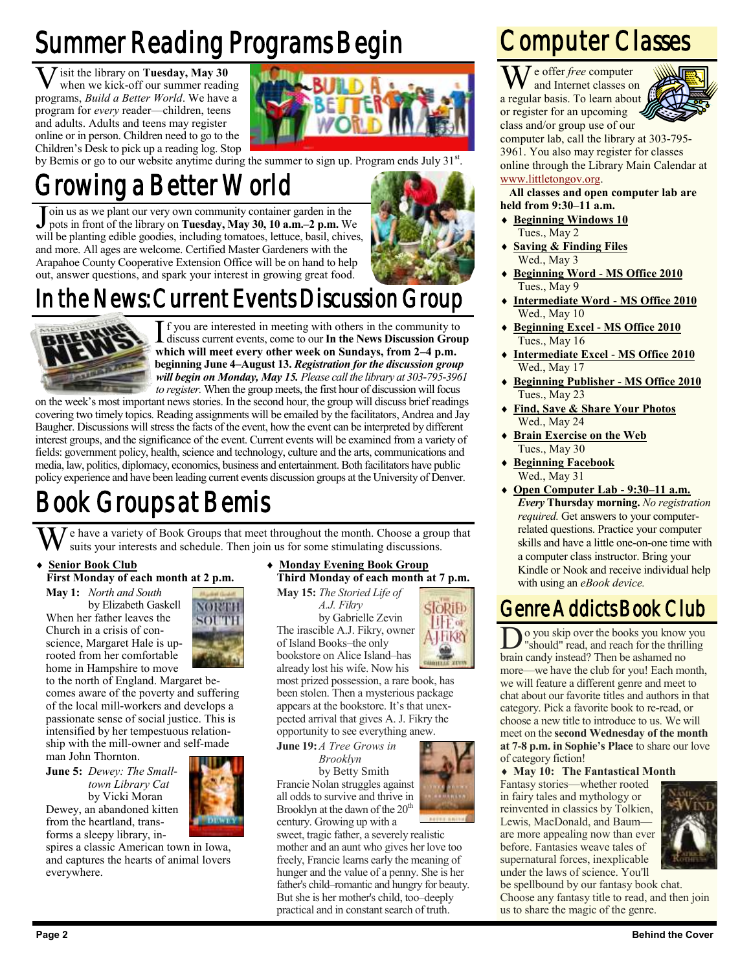## Summer Reading Programs Begin

**V** isit the library on **Tuesday, May 30** when we kick-off our summer reading programs, *Build a Better World*. We have a isit the library on **Tuesday, May 30** when we kick-off our summer reading program for *every* reader—children, teens and adults. Adults and teens may register online or in person. Children need to go to the Children's Desk to pick up a reading log. Stop



by Bemis or go to our website anytime during the summer to sign up. Program ends July 31<sup>st</sup>.

## Growing a Better World

Join us as we plant our very own community container garden in the pots in front of the library on Tuesday, May 30, 10 a.m.–2 p.m. We will be planting edible goodies, including tomatoes, lettuce, basil, chives, oin us as we plant our very own community container garden in the pots in front of the library on **Tuesday, May 30, 10 a.m.–2 p.m.** We and more. All ages are welcome. Certified Master Gardeners with the Arapahoe County Cooperative Extension Office will be on hand to help out, answer questions, and spark your interest in growing great food.



## In the News: Current Events Discussion Group



If you are interested in meeting with others in the community to discuss current events, come to our **In the News Discussion Grou** which will meet every other week on Sundays, from 2–4 p.m. f you are interested in meeting with others in the community to discuss current events, come to our **In the News Discussion Group beginning June 4–August 13.** *Registration for the discussion group will begin on Monday, May 15. Please call the library at 303-795-3961 to register.* When the group meets, the first hour of discussion will focus

on the week's most important news stories. In the second hour, the group will discuss brief readings covering two timely topics. Reading assignments will be emailed by the facilitators, Andrea and Jay Baugher. Discussions will stress the facts of the event, how the event can be interpreted by different interest groups, and the significance of the event. Current events will be examined from a variety of fields: government policy, health, science and technology, culture and the arts, communications and media, law, politics, diplomacy, economics, business and entertainment. Both facilitators have public policy experience and have been leading current events discussion groups at the University of Denver.

## Book Groups at Bemis

e have a variety of Book Groups that meet throughout the month. Choose a group that suits your interests and schedule. Then join us for some stimulating discussions.

#### **Senior Book Club First Monday of each month at 2 p.m.**

**May 1:** *North and South* by Elizabeth Gaskell When her father leaves the Church in a crisis of conscience, Margaret Hale is uprooted from her comfortable home in Hampshire to move



to the north of England. Margaret becomes aware of the poverty and suffering of the local mill-workers and develops a passionate sense of social justice. This is intensified by her tempestuous relationship with the mill-owner and self-made

man John Thornton.

**June 5:** *Dewey: The Smalltown Library Cat* by Vicki Moran Dewey, an abandoned kitten from the heartland, transforms a sleepy library, in-



spires a classic American town in Iowa, and captures the hearts of animal lovers everywhere.

 **Monday Evening Book Group Third Monday of each month at 7 p.m.**

SIORIFD

IFF of **A IFIKRY** 

**May 15:** *The Storied Life of A.J. Fikry* by Gabrielle Zevin The irascible A.J. Fikry, owner of Island Books–the only bookstore on Alice Island–has

already lost his wife. Now his most prized possession, a rare book, has been stolen. Then a mysterious package appears at the bookstore. It's that unexpected arrival that gives A. J. Fikry the opportunity to see everything anew.

**June 19:***A Tree Grows in Brooklyn* by Betty Smith Francie Nolan struggles against all odds to survive and thrive in Brooklyn at the dawn of the  $20<sup>t</sup>$ century. Growing up with a

sweet, tragic father, a severely realistic mother and an aunt who gives her love too freely, Francie learns early the meaning of hunger and the value of a penny. She is her father's child–romantic and hungry for beauty. But she is her mother's child, too–deeply practical and in constant search of truth.

## Computer Classes

We offer *free* computer and Internet classes on a regular basis. To learn about or register for an upcoming



class and/or group use of our computer lab, call the library at 303-795- 3961. You also may register for classes online through the Library Main Calendar at [www.littletongov.org.](http://www.littletongov.org/city-services/city-departments/bemis-library/library-events-calendar/-curm-3/-cury-2017)

#### **All classes and open computer lab are held from 9:30–11 a.m.**

- **Beginning Windows 10** Tues., May 2
- **Saving & Finding Files** Wed., May 3
- **Beginning Word - MS Office 2010** Tues., May 9
- **Intermediate Word - MS Office 2010** Wed., May 10
- **Beginning Excel - MS Office 2010** Tues., May 16
- **Intermediate Excel - MS Office 2010** Wed., May 17
- **Beginning Publisher - MS Office 2010** Tues., May 23
- **Find, Save & Share Your Photos** Wed., May 24
- **Brain Exercise on the Web** Tues., May 30
- **Beginning Facebook** Wed., May 31
- **Open Computer Lab - 9:30–11 a.m.** *Every* **Thursday morning.** *No registration required.* Get answers to your computerrelated questions. Practice your computer skills and have a little one-on-one time with a computer class instructor. Bring your Kindle or Nook and receive individual help with using an *eBook device.*

### Genre Addicts Book Club

Do you skip over the books you know<br>"should" read, and reach for the thrill<br>brain candy instead? Then be ashamed no o you skip over the books you know you "should" read, and reach for the thrilling more—we have the club for you! Each month, we will feature a different genre and meet to chat about our favorite titles and authors in that category. Pick a favorite book to re-read, or choose a new title to introduce to us. We will meet on the **second Wednesday of the month at 7-8 p.m. in Sophie's Place** to share our love of category fiction!

#### **May 10: The Fantastical Month**

Fantasy stories—whether rooted in fairy tales and mythology or reinvented in classics by Tolkien, Lewis, MacDonald, and Baum are more appealing now than ever before. Fantasies weave tales of supernatural forces, inexplicable under the laws of science. You'll



be spellbound by our fantasy book chat. Choose any fantasy title to read, and then join us to share the magic of the genre.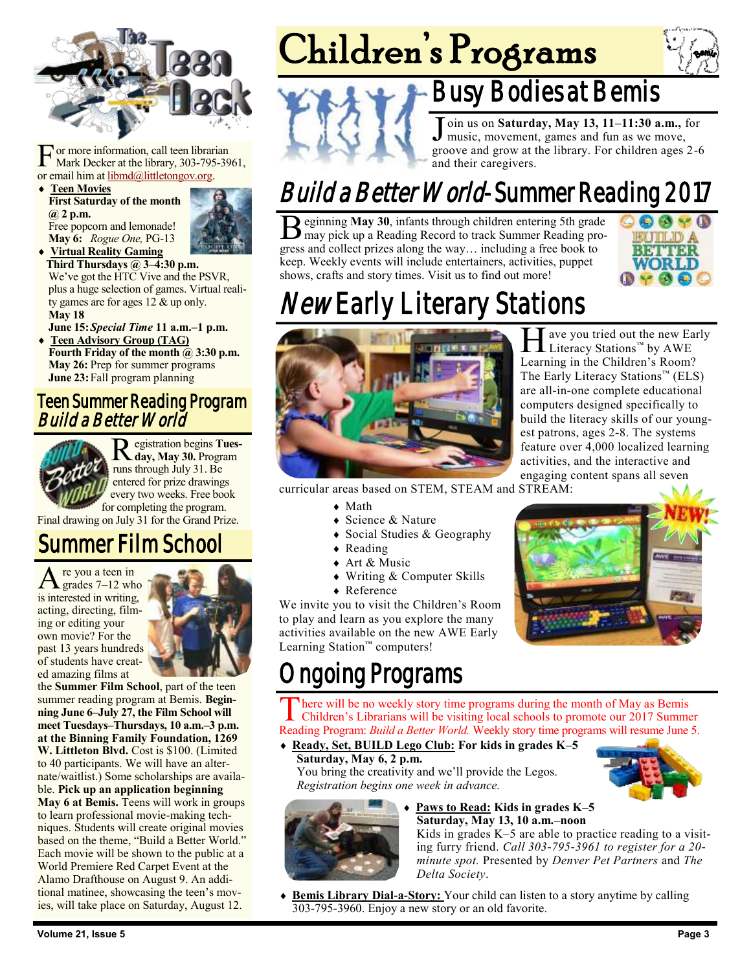

For more information, call teen librar<br>
Mark Decker at the library, 303-795<br>
or email him at <u>libmd@littletongov.org</u>. or more information, call teen librarian Mark Decker at the library, 303-795-3961,

 **Teen Movies First Saturday of the month @ 2 p.m.** Free popcorn and lemonade! **May 6:** *Rogue One,* PG-13



 **Virtual Reality Gaming Third Thursdays @ 3–4:30 p.m.** We've got the HTC Vive and the PSVR, plus a huge selection of games. Virtual reality games are for ages 12 & up only. **May 18**

**June 15:***Special Time* **11 a.m.–1 p.m. Teen Advisory Group (TAG)**

**Fourth Friday of the month @ 3:30 p.m. May 26:** Prep for summer programs **June 23:**Fall program planning

#### Teen Summer Reading Program Build a Better World



R egistration begins **Tuesday, May 30.** Program runs through July 31. Be entered for prize drawings every two weeks. Free book

for completing the program. Final drawing on July 31 for the Grand Prize.

### Summer Film School

 $A$  re you a teen in<br>grades 7–12 who re you a teen in is interested in writing, acting, directing, filming or editing your own movie? For the past 13 years hundreds of students have created amazing films at



the **Summer Film School**, part of the teen summer reading program at Bemis. **Beginning June 6–July 27, the Film School will meet Tuesdays–Thursdays, 10 a.m.–3 p.m. at the Binning Family Foundation, 1269 W. Littleton Blvd.** Cost is \$100. (Limited to 40 participants. We will have an alternate/waitlist.) Some scholarships are available. **Pick up an application beginning May 6 at Bemis.** Teens will work in groups to learn professional movie-making techniques. Students will create original movies based on the theme, "Build a Better World." Each movie will be shown to the public at a World Premiere Red Carpet Event at the Alamo Drafthouse on August 9. An additional matinee, showcasing the teen's movies, will take place on Saturday, August 12.

# Children's Programs



## Busy Bodies at Bemis

Join us on **Saturday, May 13, 11–11:30 a.m.**, for music, movement, games and fun as we move, groove and grow at the library. For children ages 2-6 oin us on **Saturday, May 13, 11–11:30 a.m.,** for music, movement, games and fun as we move, and their caregivers.

## Build a Better World-Summer Reading 2017

 $\mathbf B$  eginning May 30, infants through children entering 5th grade may pick up a Reading Record to track Summer Reading proeginning **May 30**, infants through children entering 5th grade gress and collect prizes along the way… including a free book to keep. Weekly events will include entertainers, activities, puppet shows, crafts and story times. Visit us to find out more!



## *New* Early Literary Stations



Heliteracy Stations™ by AWE  $\blacksquare$  ave you tried out the new Early Learning in the Children's Room? The Early Literacy Stations™ (ELS) are all-in-one complete educational computers designed specifically to build the literacy skills of our youngest patrons, ages 2-8. The systems feature over 4,000 localized learning activities, and the interactive and engaging content spans all seven

curricular areas based on STEM, STEAM and STREAM:

- Math
- ◆ Science & Nature
- Social Studies & Geography
- $\triangle$  Reading
- ◆ Art & Music
- Writing & Computer Skills
- ◆ Reference

We invite you to visit the Children's Room to play and learn as you explore the many activities available on the new AWE Early Learning Station™ computers!

## ngoing Programs

There will be no weekly story time programs during the month of May as Bemis<br>Children's Librarians will be visiting local schools to promote our 2017 Summer here will be no weekly story time programs during the month of May as Bemis Reading Program: *Build a Better World.* Weekly story time programs will resume June 5.

 **Ready, Set, BUILD Lego Club: For kids in grades K–5 Saturday, May 6, 2 p.m.**

You bring the creativity and we'll provide the Legos. *Registration begins one week in advance.*





#### **Paws to Read: Kids in grades K–5 Saturday, May 13, 10 a.m.–noon**

Kids in grades K–5 are able to practice reading to a visiting furry friend. *Call 303-795-3961 to register for a 20 minute spot.* Presented by *Denver Pet Partners* and *The Delta Society*.

 **Bemis Library Dial-a-Story:** Your child can listen to a story anytime by calling 303-795-3960. Enjoy a new story or an old favorite.